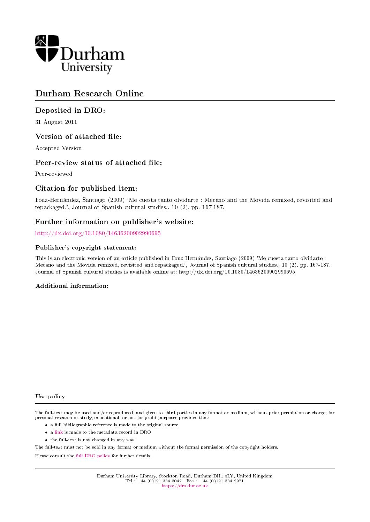

# Durham Research Online

# Deposited in DRO:

31 August 2011

# Version of attached file:

Accepted Version

# Peer-review status of attached file:

Peer-reviewed

# Citation for published item:

Fouz-Hernandez, Santiago (2009) 'Me cuesta tanto olvidarte : Mecano and the Movida remixed, revisited and repackaged.', Journal of Spanish cultural studies., 10 (2). pp. 167-187.

# Further information on publisher's website:

<http://dx.doi.org/10.1080/14636200902990695>

#### Publisher's copyright statement:

This is an electronic version of an article published in Fouz Hernandez, Santiago (2009) 'Me cuesta tanto olvidarte : Mecano and the Movida remixed, revisited and repackaged.', Journal of Spanish cultural studies., 10 (2). pp. 167-187. Journal of Spanish cultural studies is available online at: http://dx.doi.org/10.1080/14636200902990695

#### Additional information:

#### Use policy

The full-text may be used and/or reproduced, and given to third parties in any format or medium, without prior permission or charge, for personal research or study, educational, or not-for-profit purposes provided that:

- a full bibliographic reference is made to the original source
- a [link](http://dro.dur.ac.uk/8689/) is made to the metadata record in DRO
- the full-text is not changed in any way

The full-text must not be sold in any format or medium without the formal permission of the copyright holders.

Please consult the [full DRO policy](https://dro.dur.ac.uk/policies/usepolicy.pdf) for further details.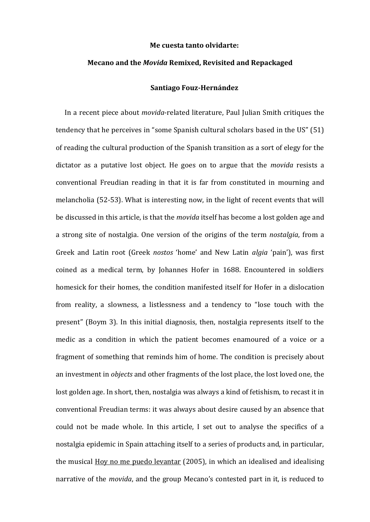#### **Me cuesta tanto olvidarte:**

#### **Mecano and the** *Movida* **Remixed, Revisited and Repackaged**

#### **Santiago Fouz-Hernández**

In a recent piece about *movida*-related literature, Paul Julian Smith critiques the tendency that he perceives in "some Spanish cultural scholars based in the US" (51) of reading the cultural production of the Spanish transition as a sort of elegy for the dictator as a putative lost object. He goes on to argue that the *movida* resists a conventional Freudian reading in that it is far from constituted in mourning and melancholia (52-53). What is interesting now, in the light of recent events that will be discussed in this article, is that the *movida* itself has become a lost golden age and a strong site of nostalgia. One version of the origins of the term *nostalgia*, from a Greek and Latin root (Greek *nostos* 'home' and New Latin *algia* 'pain'), was first coined as a medical term, by Johannes Hofer in 1688. Encountered in soldiers homesick for their homes, the condition manifested itself for Hofer in a dislocation from reality, a slowness, a listlessness and a tendency to "lose touch with the present" (Boym 3). In this initial diagnosis, then, nostalgia represents itself to the medic as a condition in which the patient becomes enamoured of a voice or a fragment of something that reminds him of home. The condition is precisely about an investment in *objects* and other fragments of the lost place, the lost loved one, the lost golden age. In short, then, nostalgia was always a kind of fetishism, to recast it in conventional Freudian terms: it was always about desire caused by an absence that could not be made whole. In this article, I set out to analyse the specifics of a nostalgia epidemic in Spain attaching itself to a series of products and, in particular, the musical Hoy no me puedo levantar (2005), in which an idealised and idealising narrative of the *movida*, and the group Mecano's contested part in it, is reduced to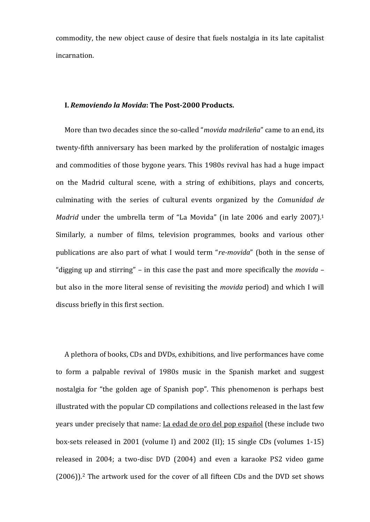commodity, the new object cause of desire that fuels nostalgia in its late capitalist incarnation.

# **I.** *Removiendo la Movida***: The Post-2000 Products.**

More than two decades since the so-called "*movida madrileña*" came to an end, its twenty-fifth anniversary has been marked by the proliferation of nostalgic images and commodities of those bygone years. This 1980s revival has had a huge impact on the Madrid cultural scene, with a string of exhibitions, plays and concerts, culminating with the series of cultural events organized by the *Comunidad de Madrid* under the umbrella term of "La Movida" (in late 2006 and early 2007).<sup>1</sup> Similarly, a number of films, television programmes, books and various other publications are also part of what I would term "*re-movida*" (both in the sense of "digging up and stirring" – in this case the past and more specifically the *movida* – but also in the more literal sense of revisiting the *movida* period) and which I will discuss briefly in this first section.

A plethora of books, CDs and DVDs, exhibitions, and live performances have come to form a palpable revival of 1980s music in the Spanish market and suggest nostalgia for "the golden age of Spanish pop". This phenomenon is perhaps best illustrated with the popular CD compilations and collections released in the last few years under precisely that name: La edad de oro del pop español (these include two box-sets released in 2001 (volume I) and 2002 (II); 15 single CDs (volumes 1-15) released in 2004; a two-disc DVD (2004) and even a karaoke PS2 video game (2006)). <sup>2</sup> The artwork used for the cover of all fifteen CDs and the DVD set shows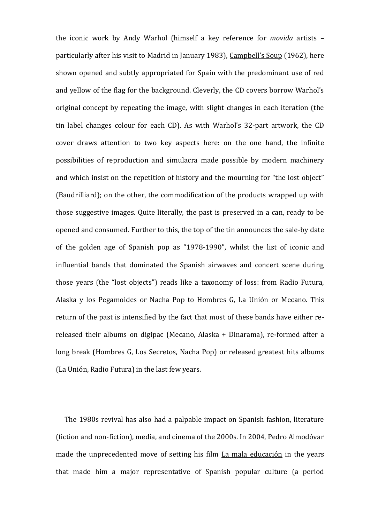the iconic work by Andy Warhol (himself a key reference for *movida* artists – particularly after his visit to Madrid in January 1983), Campbell's Soup (1962), here shown opened and subtly appropriated for Spain with the predominant use of red and yellow of the flag for the background. Cleverly, the CD covers borrow Warhol's original concept by repeating the image, with slight changes in each iteration (the tin label changes colour for each CD). As with Warhol's 32-part artwork, the CD cover draws attention to two key aspects here: on the one hand, the infinite possibilities of reproduction and simulacra made possible by modern machinery and which insist on the repetition of history and the mourning for "the lost object" (Baudrilliard); on the other, the commodification of the products wrapped up with those suggestive images. Quite literally, the past is preserved in a can, ready to be opened and consumed. Further to this, the top of the tin announces the sale-by date of the golden age of Spanish pop as "1978-1990", whilst the list of iconic and influential bands that dominated the Spanish airwaves and concert scene during those years (the "lost objects") reads like a taxonomy of loss: from Radio Futura, Alaska y los Pegamoides or Nacha Pop to Hombres G, La Unión or Mecano. This return of the past is intensified by the fact that most of these bands have either rereleased their albums on digipac (Mecano, Alaska + Dinarama), re-formed after a long break (Hombres G, Los Secretos, Nacha Pop) or released greatest hits albums (La Unión, Radio Futura) in the last few years.

The 1980s revival has also had a palpable impact on Spanish fashion, literature (fiction and non-fiction), media, and cinema of the 2000s. In 2004, Pedro Almodóvar made the unprecedented move of setting his film La mala educación in the years that made him a major representative of Spanish popular culture (a period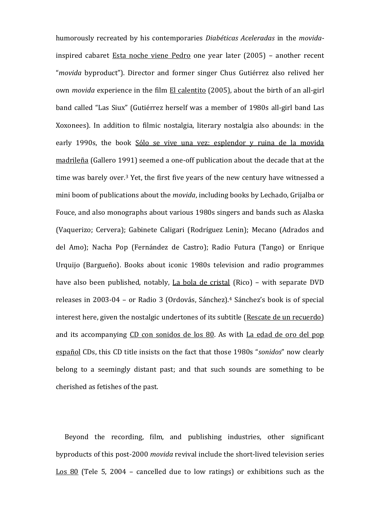humorously recreated by his contemporaries *Diabéticas Aceleradas* in the *movida*inspired cabaret Esta noche viene Pedro one year later (2005) – another recent "*movida* byproduct"). Director and former singer Chus Gutiérrez also relived her own *movida* experience in the film El calentito (2005), about the birth of an all-girl band called "Las Siux" (Gutiérrez herself was a member of 1980s all-girl band Las Xoxonees). In addition to filmic nostalgia, literary nostalgia also abounds: in the early 1990s, the book Sólo se vive una vez: esplendor y ruina de la movida madrileña (Gallero 1991) seemed a one-off publication about the decade that at the time was barely over.<sup>3</sup> Yet, the first five years of the new century have witnessed a mini boom of publications about the *movida*, including books by Lechado, Grijalba or Fouce, and also monographs about various 1980s singers and bands such as Alaska (Vaquerizo; Cervera); Gabinete Caligari (Rodríguez Lenin); Mecano (Adrados and del Amo); Nacha Pop (Fernández de Castro); Radio Futura (Tango) or Enrique Urquijo (Bargueño). Books about iconic 1980s television and radio programmes have also been published, notably, La bola de cristal (Rico) – with separate DVD releases in 2003-04 – or Radio 3 (Ordovás, Sánchez).<sup>4</sup> Sánchez's book is of special interest here, given the nostalgic undertones of its subtitle (Rescate de un recuerdo) and its accompanying CD con sonidos de los 80. As with La edad de oro del pop español CDs, this CD title insists on the fact that those 1980s "*sonidos*" now clearly belong to a seemingly distant past; and that such sounds are something to be cherished as fetishes of the past.

Beyond the recording, film, and publishing industries, other significant byproducts of this post-2000 *movida* revival include the short-lived television series Los 80 (Tele 5, 2004 – cancelled due to low ratings) or exhibitions such as the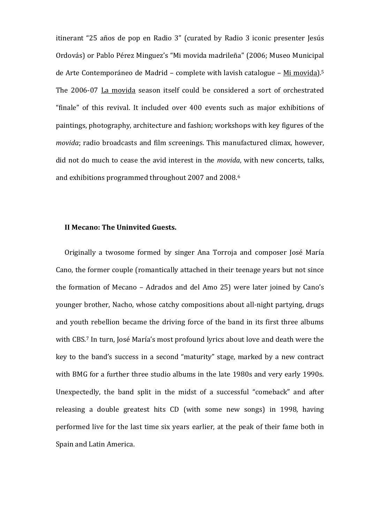itinerant "25 años de pop en Radio 3" (curated by Radio 3 iconic presenter Jesús Ordovás) or Pablo Pérez Minguez's "Mi movida madrileña" (2006; Museo Municipal de Arte Contemporáneo de Madrid – complete with lavish catalogue – Mi movida).<sup>5</sup> The 2006-07 La movida season itself could be considered a sort of orchestrated "finale" of this revival. It included over 400 events such as major exhibitions of paintings, photography, architecture and fashion; workshops with key figures of the *movida*; radio broadcasts and film screenings. This manufactured climax, however, did not do much to cease the avid interest in the *movida*, with new concerts, talks, and exhibitions programmed throughout 2007 and 2008.<sup>6</sup>

#### **II Mecano: The Uninvited Guests.**

Originally a twosome formed by singer Ana Torroja and composer José María Cano, the former couple (romantically attached in their teenage years but not since the formation of Mecano – Adrados and del Amo 25) were later joined by Cano's younger brother, Nacho, whose catchy compositions about all-night partying, drugs and youth rebellion became the driving force of the band in its first three albums with CBS.<sup>7</sup> In turn, José María's most profound lyrics about love and death were the key to the band's success in a second "maturity" stage, marked by a new contract with BMG for a further three studio albums in the late 1980s and very early 1990s. Unexpectedly, the band split in the midst of a successful "comeback" and after releasing a double greatest hits CD (with some new songs) in 1998, having performed live for the last time six years earlier, at the peak of their fame both in Spain and Latin America.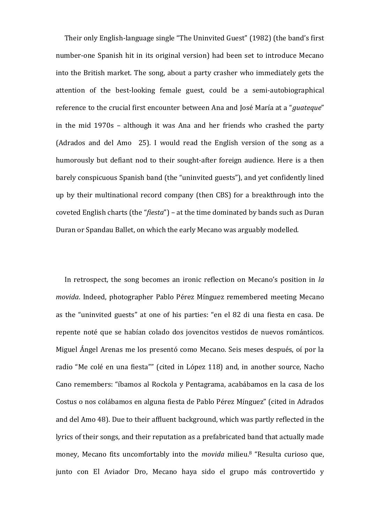Their only English-language single "The Uninvited Guest" (1982) (the band's first number-one Spanish hit in its original version) had been set to introduce Mecano into the British market. The song, about a party crasher who immediately gets the attention of the best-looking female guest, could be a semi-autobiographical reference to the crucial first encounter between Ana and José María at a "*guateque*" in the mid 1970s – although it was Ana and her friends who crashed the party (Adrados and del Amo 25). I would read the English version of the song as a humorously but defiant nod to their sought-after foreign audience. Here is a then barely conspicuous Spanish band (the "uninvited guests"), and yet confidently lined up by their multinational record company (then CBS) for a breakthrough into the coveted English charts (the "*fiesta*") – at the time dominated by bands such as Duran Duran or Spandau Ballet, on which the early Mecano was arguably modelled.

In retrospect, the song becomes an ironic reflection on Mecano's position in *la movida*. Indeed, photographer Pablo Pérez Mínguez remembered meeting Mecano as the "uninvited guests" at one of his parties: "en el 82 di una fiesta en casa. De repente noté que se habían colado dos jovencitos vestidos de nuevos románticos. Miguel Ángel Arenas me los presentó como Mecano. Seis meses después, oí por la radio "Me colé en una fiesta"" (cited in López 118) and, in another source, Nacho Cano remembers: "íbamos al Rockola y Pentagrama, acabábamos en la casa de los Costus o nos colábamos en alguna fiesta de Pablo Pérez Mínguez" (cited in Adrados and del Amo 48). Due to their affluent background, which was partly reflected in the lyrics of their songs, and their reputation as a prefabricated band that actually made money, Mecano fits uncomfortably into the *movida* milieu.<sup>8</sup> "Resulta curioso que, junto con El Aviador Dro, Mecano haya sido el grupo más controvertido y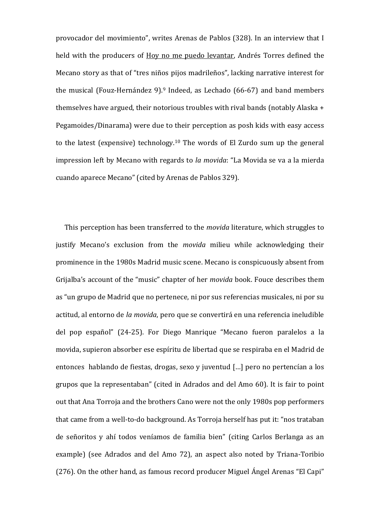provocador del movimiento", writes Arenas de Pablos (328). In an interview that I held with the producers of Hoy no me puedo levantar, Andrés Torres defined the Mecano story as that of "tres niños pijos madrileños", lacking narrative interest for the musical (Fouz-Hernández 9).<sup>9</sup> Indeed, as Lechado (66-67) and band members themselves have argued, their notorious troubles with rival bands (notably Alaska + Pegamoides/Dinarama) were due to their perception as posh kids with easy access to the latest (expensive) technology.<sup>10</sup> The words of El Zurdo sum up the general impression left by Mecano with regards to *la movida*: "La Movida se va a la mierda cuando aparece Mecano" (cited by Arenas de Pablos 329).

This perception has been transferred to the *movida* literature, which struggles to justify Mecano's exclusion from the *movida* milieu while acknowledging their prominence in the 1980s Madrid music scene. Mecano is conspicuously absent from Grijalba's account of the "music" chapter of her *movida* book. Fouce describes them as "un grupo de Madrid que no pertenece, ni por sus referencias musicales, ni por su actitud, al entorno de *la movida*, pero que se convertirá en una referencia ineludible del pop español" (24-25). For Diego Manrique "Mecano fueron paralelos a la movida, supieron absorber ese espíritu de libertad que se respiraba en el Madrid de entonces hablando de fiestas, drogas, sexo y juventud […] pero no pertencían a los grupos que la representaban" (cited in Adrados and del Amo 60). It is fair to point out that Ana Torroja and the brothers Cano were not the only 1980s pop performers that came from a well-to-do background. As Torroja herself has put it: "nos trataban de señoritos y ahí todos veníamos de familia bien" (citing Carlos Berlanga as an example) (see Adrados and del Amo 72), an aspect also noted by Triana-Toribio (276). On the other hand, as famous record producer Miguel Ángel Arenas "El Capi"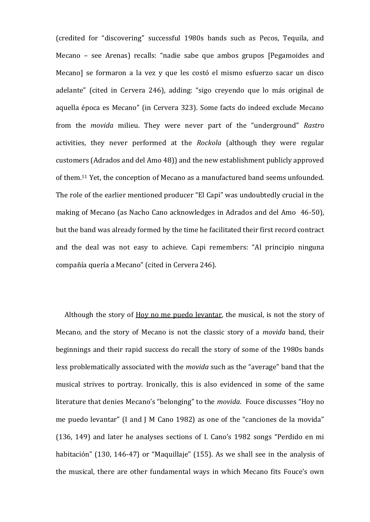(credited for "discovering" successful 1980s bands such as Pecos, Tequila, and Mecano – see Arenas) recalls: "nadie sabe que ambos grupos [Pegamoides and Mecano] se formaron a la vez y que les costó el mismo esfuerzo sacar un disco adelante" (cited in Cervera 246), adding: "sigo creyendo que lo más original de aquella época es Mecano" (in Cervera 323). Some facts do indeed exclude Mecano from the *movida* milieu. They were never part of the "underground" *Rastro*  activities, they never performed at the *Rockola* (although they were regular customers (Adrados and del Amo 48)) and the new establishment publicly approved of them.<sup>11</sup> Yet, the conception of Mecano as a manufactured band seems unfounded. The role of the earlier mentioned producer "El Capi" was undoubtedly crucial in the making of Mecano (as Nacho Cano acknowledges in Adrados and del Amo 46-50), but the band was already formed by the time he facilitated their first record contract and the deal was not easy to achieve. Capi remembers: "Al principio ninguna compañía quería a Mecano" (cited in Cervera 246).

Although the story of Hoy no me puedo levantar, the musical, is not the story of Mecano, and the story of Mecano is not the classic story of a *movida* band, their beginnings and their rapid success do recall the story of some of the 1980s bands less problematically associated with the *movida* such as the "average" band that the musical strives to portray. Ironically, this is also evidenced in some of the same literature that denies Mecano's "belonging" to the *movida*. Fouce discusses "Hoy no me puedo levantar" (I and J M Cano 1982) as one of the "canciones de la movida" (136, 149) and later he analyses sections of I. Cano's 1982 songs "Perdido en mi habitación" (130, 146-47) or "Maquillaje" (155). As we shall see in the analysis of the musical, there are other fundamental ways in which Mecano fits Fouce's own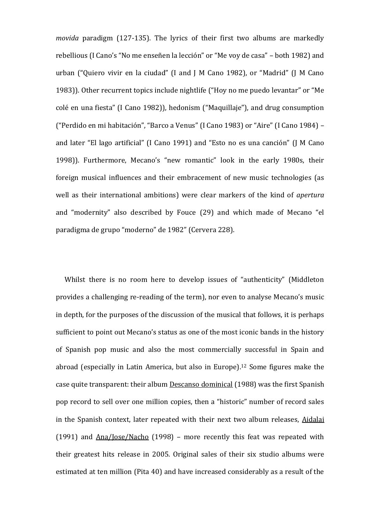*movida* paradigm (127-135). The lyrics of their first two albums are markedly rebellious (I Cano's "No me enseñen la lección" or "Me voy de casa" – both 1982) and urban ("Quiero vivir en la ciudad" (I and J M Cano 1982), or "Madrid" (J M Cano 1983)). Other recurrent topics include nightlife ("Hoy no me puedo levantar" or "Me colé en una fiesta" (I Cano 1982)), hedonism ("Maquillaje"), and drug consumption ("Perdido en mi habitación", "Barco a Venus" (I Cano 1983) or "Aire" (I Cano 1984) – and later "El lago artificial" (I Cano 1991) and "Esto no es una canción" (J M Cano 1998)). Furthermore, Mecano's "new romantic" look in the early 1980s, their foreign musical influences and their embracement of new music technologies (as well as their international ambitions) were clear markers of the kind of *apertura* and "modernity" also described by Fouce (29) and which made of Mecano "el paradigma de grupo "moderno" de 1982" (Cervera 228).

Whilst there is no room here to develop issues of "authenticity" (Middleton provides a challenging re-reading of the term), nor even to analyse Mecano's music in depth, for the purposes of the discussion of the musical that follows, it is perhaps sufficient to point out Mecano's status as one of the most iconic bands in the history of Spanish pop music and also the most commercially successful in Spain and abroad (especially in Latin America, but also in Europe).<sup>12</sup> Some figures make the case quite transparent: their album Descanso dominical (1988) was the first Spanish pop record to sell over one million copies, then a "historic" number of record sales in the Spanish context, later repeated with their next two album releases, Aidalai (1991) and Ana/Jose/Nacho (1998) – more recently this feat was repeated with their greatest hits release in 2005. Original sales of their six studio albums were estimated at ten million (Pita 40) and have increased considerably as a result of the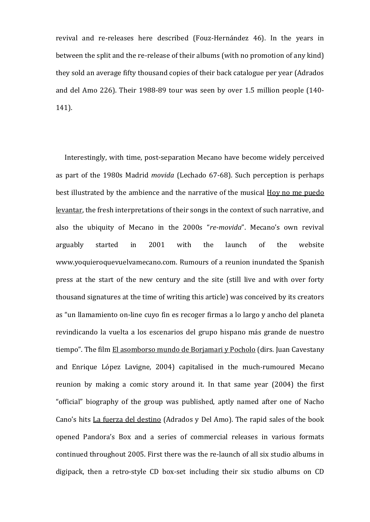revival and re-releases here described (Fouz-Hernández 46). In the years in between the split and the re-release of their albums (with no promotion of any kind) they sold an average fifty thousand copies of their back catalogue per year (Adrados and del Amo 226). Their 1988-89 tour was seen by over 1.5 million people (140- 141).

Interestingly, with time, post-separation Mecano have become widely perceived as part of the 1980s Madrid *movida* (Lechado 67-68). Such perception is perhaps best illustrated by the ambience and the narrative of the musical Hoy no me puedo levantar, the fresh interpretations of their songs in the context of such narrative, and also the ubiquity of Mecano in the 2000s "*re-movida*". Mecano's own revival arguably started in 2001 with the launch of the website www.yoquieroquevuelvamecano.com. Rumours of a reunion inundated the Spanish press at the start of the new century and the site (still live and with over forty thousand signatures at the time of writing this article) was conceived by its creators as "un llamamiento on-line cuyo fin es recoger firmas a lo largo y ancho del planeta revindicando la vuelta a los escenarios del grupo hispano más grande de nuestro tiempo". The film El asomborso mundo de Borjamari y Pocholo (dirs. Juan Cavestany and Enrique López Lavigne, 2004) capitalised in the much-rumoured Mecano reunion by making a comic story around it. In that same year (2004) the first "official" biography of the group was published, aptly named after one of Nacho Cano's hits La fuerza del destino (Adrados y Del Amo). The rapid sales of the book opened Pandora's Box and a series of commercial releases in various formats continued throughout 2005. First there was the re-launch of all six studio albums in digipack, then a retro-style CD box-set including their six studio albums on CD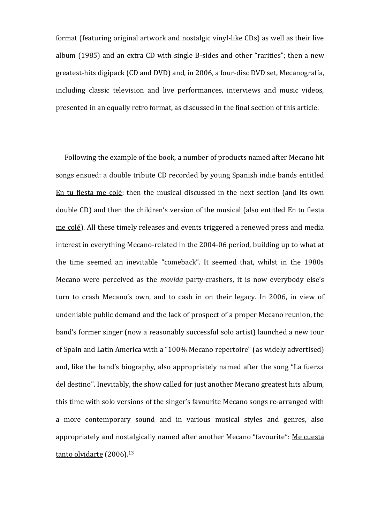format (featuring original artwork and nostalgic vinyl-like CDs) as well as their live album (1985) and an extra CD with single B-sides and other "rarities"; then a new greatest-hits digipack (CD and DVD) and, in 2006, a four-disc DVD set, Mecanografía, including classic television and live performances, interviews and music videos, presented in an equally retro format, as discussed in the final section of this article.

Following the example of the book, a number of products named after Mecano hit songs ensued: a double tribute CD recorded by young Spanish indie bands entitled En tu fiesta me colé; then the musical discussed in the next section (and its own double CD) and then the children's version of the musical (also entitled En tu fiesta me colé). All these timely releases and events triggered a renewed press and media interest in everything Mecano-related in the 2004-06 period, building up to what at the time seemed an inevitable "comeback". It seemed that, whilst in the 1980s Mecano were perceived as the *movida* party-crashers, it is now everybody else's turn to crash Mecano's own, and to cash in on their legacy. In 2006, in view of undeniable public demand and the lack of prospect of a proper Mecano reunion, the band's former singer (now a reasonably successful solo artist) launched a new tour of Spain and Latin America with a "100% Mecano repertoire" (as widely advertised) and, like the band's biography, also appropriately named after the song "La fuerza del destino". Inevitably, the show called for just another Mecano greatest hits album, this time with solo versions of the singer's favourite Mecano songs re-arranged with a more contemporary sound and in various musical styles and genres, also appropriately and nostalgically named after another Mecano "favourite": Me cuesta tanto olvidarte (2006).<sup>13</sup>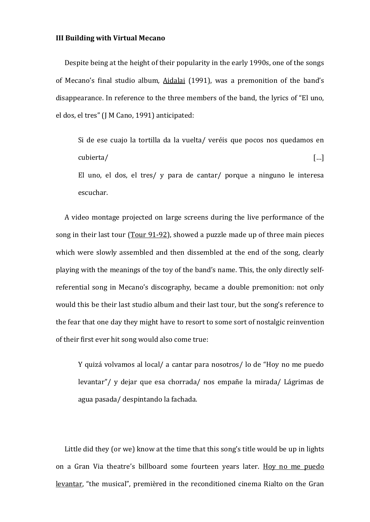#### **III Building with Virtual Mecano**

Despite being at the height of their popularity in the early 1990s, one of the songs of Mecano's final studio album, Aidalai (1991), was a premonition of the band's disappearance. In reference to the three members of the band, the lyrics of "El uno, el dos, el tres" (J M Cano, 1991) anticipated:

Si de ese cuajo la tortilla da la vuelta/ veréis que pocos nos quedamos en cubierta/ […] El uno, el dos, el tres/ y para de cantar/ porque a ninguno le interesa escuchar.

A video montage projected on large screens during the live performance of the song in their last tour (Tour 91-92), showed a puzzle made up of three main pieces which were slowly assembled and then dissembled at the end of the song, clearly playing with the meanings of the toy of the band's name. This, the only directly selfreferential song in Mecano's discography, became a double premonition: not only would this be their last studio album and their last tour, but the song's reference to the fear that one day they might have to resort to some sort of nostalgic reinvention of their first ever hit song would also come true:

Y quizá volvamos al local/ a cantar para nosotros/ lo de "Hoy no me puedo levantar"/ y dejar que esa chorrada/ nos empañe la mirada/ Lágrimas de agua pasada/ despintando la fachada.

Little did they (or we) know at the time that this song's title would be up in lights on a Gran Via theatre's billboard some fourteen years later. Hoy no me puedo levantar, "the musical", premièred in the reconditioned cinema Rialto on the Gran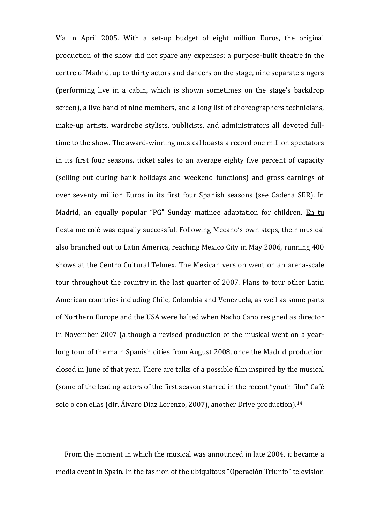Vía in April 2005. With a set-up budget of eight million Euros, the original production of the show did not spare any expenses: a purpose-built theatre in the centre of Madrid, up to thirty actors and dancers on the stage, nine separate singers (performing live in a cabin, which is shown sometimes on the stage's backdrop screen), a live band of nine members, and a long list of choreographers technicians, make-up artists, wardrobe stylists, publicists, and administrators all devoted fulltime to the show. The award-winning musical boasts a record one million spectators in its first four seasons, ticket sales to an average eighty five percent of capacity (selling out during bank holidays and weekend functions) and gross earnings of over seventy million Euros in its first four Spanish seasons (see Cadena SER). In Madrid, an equally popular "PG" Sunday matinee adaptation for children, En tu fiesta me colé was equally successful. Following Mecano's own steps, their musical also branched out to Latin America, reaching Mexico City in May 2006, running 400 shows at the Centro Cultural Telmex. The Mexican version went on an arena-scale tour throughout the country in the last quarter of 2007. Plans to tour other Latin American countries including Chile, Colombia and Venezuela, as well as some parts of Northern Europe and the USA were halted when Nacho Cano resigned as director in November 2007 (although a revised production of the musical went on a yearlong tour of the main Spanish cities from August 2008, once the Madrid production closed in June of that year. There are talks of a possible film inspired by the musical (some of the leading actors of the first season starred in the recent "youth film" Café solo o con ellas (dir. Álvaro Díaz Lorenzo, 2007), another Drive production).<sup>14</sup>

From the moment in which the musical was announced in late 2004, it became a media event in Spain. In the fashion of the ubiquitous "Operación Triunfo" television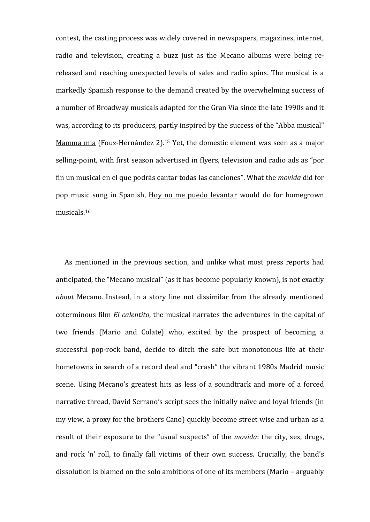contest, the casting process was widely covered in newspapers, magazines, internet, radio and television, creating a buzz just as the Mecano albums were being rereleased and reaching unexpected levels of sales and radio spins. The musical is a markedly Spanish response to the demand created by the overwhelming success of a number of Broadway musicals adapted for the Gran Vía since the late 1990s and it was, according to its producers, partly inspired by the success of the "Abba musical" Mamma mia (Fouz-Hernández 2).<sup>15</sup> Yet, the domestic element was seen as a major selling-point, with first season advertised in flyers, television and radio ads as "por fin un musical en el que podrás cantar todas las canciones". What the *movida* did for pop music sung in Spanish, Hoy no me puedo levantar would do for homegrown musicals.<sup>16</sup>

As mentioned in the previous section, and unlike what most press reports had anticipated, the "Mecano musical" (as it has become popularly known), is not exactly *about* Mecano. Instead, in a story line not dissimilar from the already mentioned coterminous film *El calentito*, the musical narrates the adventures in the capital of two friends (Mario and Colate) who, excited by the prospect of becoming a successful pop-rock band, decide to ditch the safe but monotonous life at their hometowns in search of a record deal and "crash" the vibrant 1980s Madrid music scene. Using Mecano's greatest hits as less of a soundtrack and more of a forced narrative thread, David Serrano's script sees the initially naïve and loyal friends (in my view, a proxy for the brothers Cano) quickly become street wise and urban as a result of their exposure to the "usual suspects" of the *movida*: the city, sex, drugs, and rock 'n' roll, to finally fall victims of their own success. Crucially, the band's dissolution is blamed on the solo ambitions of one of its members (Mario – arguably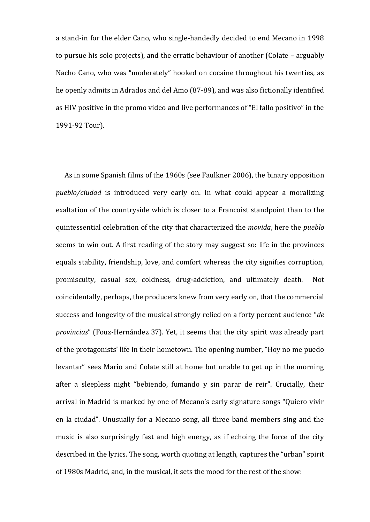a stand-in for the elder Cano, who single-handedly decided to end Mecano in 1998 to pursue his solo projects), and the erratic behaviour of another (Colate – arguably Nacho Cano, who was "moderately" hooked on cocaine throughout his twenties, as he openly admits in Adrados and del Amo (87-89), and was also fictionally identified as HIV positive in the promo video and live performances of "El fallo positivo" in the 1991-92 Tour).

As in some Spanish films of the 1960s (see Faulkner 2006), the binary opposition *pueblo/ciudad* is introduced very early on. In what could appear a moralizing exaltation of the countryside which is closer to a Francoist standpoint than to the quintessential celebration of the city that characterized the *movida*, here the *pueblo*  seems to win out. A first reading of the story may suggest so: life in the provinces equals stability, friendship, love, and comfort whereas the city signifies corruption, promiscuity, casual sex, coldness, drug-addiction, and ultimately death. Not coincidentally, perhaps, the producers knew from very early on, that the commercial success and longevity of the musical strongly relied on a forty percent audience "*de provincias*" (Fouz-Hernández 37). Yet, it seems that the city spirit was already part of the protagonists' life in their hometown. The opening number, "Hoy no me puedo levantar" sees Mario and Colate still at home but unable to get up in the morning after a sleepless night "bebiendo, fumando y sin parar de reir". Crucially, their arrival in Madrid is marked by one of Mecano's early signature songs "Quiero vivir en la ciudad". Unusually for a Mecano song, all three band members sing and the music is also surprisingly fast and high energy, as if echoing the force of the city described in the lyrics. The song, worth quoting at length, captures the "urban" spirit of 1980s Madrid, and, in the musical, it sets the mood for the rest of the show: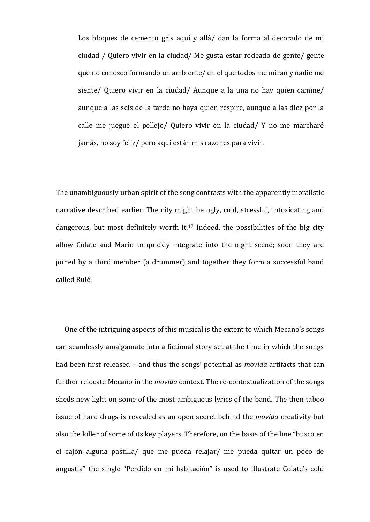Los bloques de cemento gris aquí y allá/ dan la forma al decorado de mi ciudad / Quiero vivir en la ciudad/ Me gusta estar rodeado de gente/ gente que no conozco formando un ambiente/ en el que todos me miran y nadie me siente/ Quiero vivir en la ciudad/ Aunque a la una no hay quien camine/ aunque a las seis de la tarde no haya quien respire, aunque a las diez por la calle me juegue el pellejo/ Quiero vivir en la ciudad/ Y no me marcharé jamás, no soy feliz/ pero aquí están mis razones para vivir.

The unambiguously urban spirit of the song contrasts with the apparently moralistic narrative described earlier. The city might be ugly, cold, stressful, intoxicating and dangerous, but most definitely worth it.<sup>17</sup> Indeed, the possibilities of the big city allow Colate and Mario to quickly integrate into the night scene; soon they are joined by a third member (a drummer) and together they form a successful band called Rulé.

One of the intriguing aspects of this musical is the extent to which Mecano's songs can seamlessly amalgamate into a fictional story set at the time in which the songs had been first released – and thus the songs' potential as *movida* artifacts that can further relocate Mecano in the *movida* context. The re-contextualization of the songs sheds new light on some of the most ambiguous lyrics of the band. The then taboo issue of hard drugs is revealed as an open secret behind the *movida* creativity but also the killer of some of its key players. Therefore, on the basis of the line "busco en el cajón alguna pastilla/ que me pueda relajar/ me pueda quitar un poco de angustia" the single "Perdido en mi habitación" is used to illustrate Colate's cold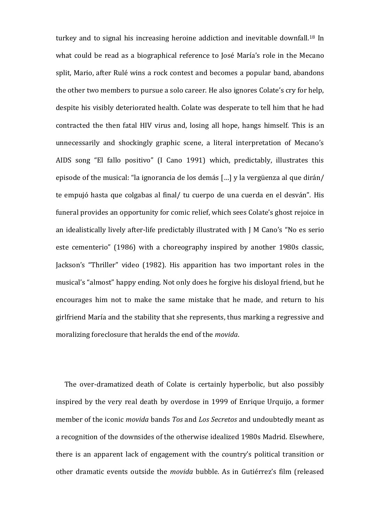turkey and to signal his increasing heroine addiction and inevitable downfall.<sup>18</sup> In what could be read as a biographical reference to José María's role in the Mecano split, Mario, after Rulé wins a rock contest and becomes a popular band, abandons the other two members to pursue a solo career. He also ignores Colate's cry for help, despite his visibly deteriorated health. Colate was desperate to tell him that he had contracted the then fatal HIV virus and, losing all hope, hangs himself. This is an unnecessarily and shockingly graphic scene, a literal interpretation of Mecano's AIDS song "El fallo positivo" (I Cano 1991) which, predictably, illustrates this episode of the musical: "la ignorancia de los demás […] y la vergüenza al que dirán/ te empujó hasta que colgabas al final/ tu cuerpo de una cuerda en el desván". His funeral provides an opportunity for comic relief, which sees Colate's ghost rejoice in an idealistically lively after-life predictably illustrated with J M Cano's "No es serio este cementerio" (1986) with a choreography inspired by another 1980s classic, Jackson's "Thriller" video (1982). His apparition has two important roles in the musical's "almost" happy ending. Not only does he forgive his disloyal friend, but he encourages him not to make the same mistake that he made, and return to his girlfriend María and the stability that she represents, thus marking a regressive and moralizing foreclosure that heralds the end of the *movida*.

The over-dramatized death of Colate is certainly hyperbolic, but also possibly inspired by the very real death by overdose in 1999 of Enrique Urquijo, a former member of the iconic *movida* bands *Tos* and *Los Secretos* and undoubtedly meant as a recognition of the downsides of the otherwise idealized 1980s Madrid. Elsewhere, there is an apparent lack of engagement with the country's political transition or other dramatic events outside the *movida* bubble. As in Gutiérrez's film (released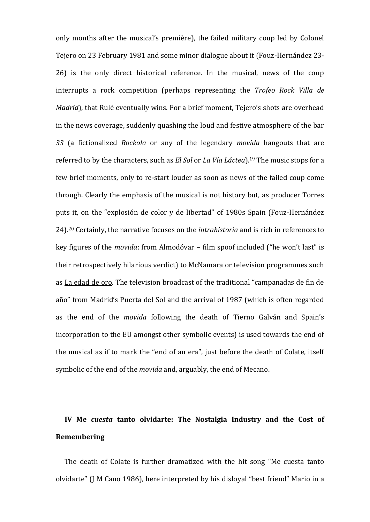only months after the musical's première), the failed military coup led by Colonel Tejero on 23 February 1981 and some minor dialogue about it (Fouz-Hernández 23- 26) is the only direct historical reference. In the musical, news of the coup interrupts a rock competition (perhaps representing the *Trofeo Rock Villa de Madrid*), that Rulé eventually wins. For a brief moment, Tejero's shots are overhead in the news coverage, suddenly quashing the loud and festive atmosphere of the bar *33* (a fictionalized *Rockola* or any of the legendary *movida* hangouts that are referred to by the characters, such as *El Sol* or *La Vía Láctea*).<sup>19</sup> The music stops for a few brief moments, only to re-start louder as soon as news of the failed coup come through. Clearly the emphasis of the musical is not history but, as producer Torres puts it, on the "explosión de color y de libertad" of 1980s Spain (Fouz-Hernández 24).<sup>20</sup> Certainly, the narrative focuses on the *intrahistoria* and is rich in references to key figures of the *movida*: from Almodóvar – film spoof included ("he won't last" is their retrospectively hilarious verdict) to McNamara or television programmes such as La edad de oro. The television broadcast of the traditional "campanadas de fin de año" from Madrid's Puerta del Sol and the arrival of 1987 (which is often regarded as the end of the *movida* following the death of Tierno Galván and Spain's incorporation to the EU amongst other symbolic events) is used towards the end of the musical as if to mark the "end of an era", just before the death of Colate, itself symbolic of the end of the *movida* and, arguably, the end of Mecano.

# **IV Me** *cuesta* **tanto olvidarte: The Nostalgia Industry and the Cost of Remembering**

The death of Colate is further dramatized with the hit song "Me cuesta tanto olvidarte" (J M Cano 1986), here interpreted by his disloyal "best friend" Mario in a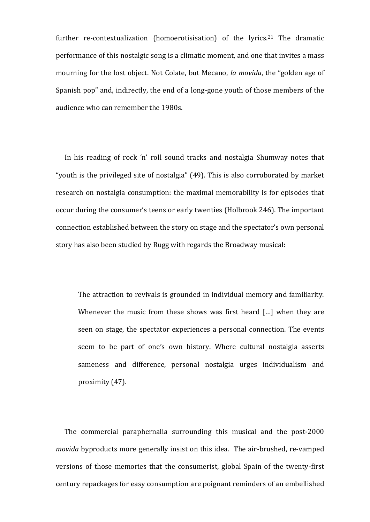further re-contextualization (homoerotisisation) of the lyrics.<sup>21</sup> The dramatic performance of this nostalgic song is a climatic moment, and one that invites a mass mourning for the lost object. Not Colate, but Mecano, *la movida*, the "golden age of Spanish pop" and, indirectly, the end of a long-gone youth of those members of the audience who can remember the 1980s.

In his reading of rock 'n' roll sound tracks and nostalgia Shumway notes that "youth is the privileged site of nostalgia" (49). This is also corroborated by market research on nostalgia consumption: the maximal memorability is for episodes that occur during the consumer's teens or early twenties (Holbrook 246). The important connection established between the story on stage and the spectator's own personal story has also been studied by Rugg with regards the Broadway musical:

The attraction to revivals is grounded in individual memory and familiarity. Whenever the music from these shows was first heard [...] when they are seen on stage, the spectator experiences a personal connection. The events seem to be part of one's own history. Where cultural nostalgia asserts sameness and difference, personal nostalgia urges individualism and proximity (47).

The commercial paraphernalia surrounding this musical and the post-2000 *movida* byproducts more generally insist on this idea. The air-brushed, re-vamped versions of those memories that the consumerist, global Spain of the twenty-first century repackages for easy consumption are poignant reminders of an embellished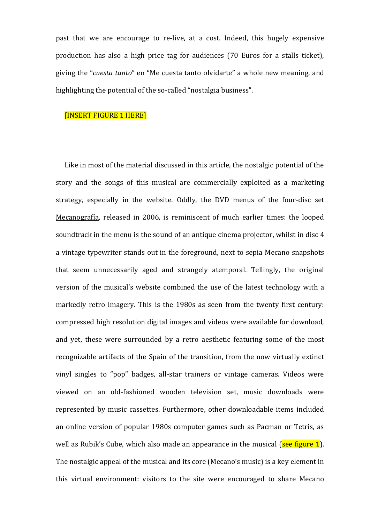past that we are encourage to re-live, at a cost. Indeed, this hugely expensive production has also a high price tag for audiences (70 Euros for a stalls ticket), giving the "*cuesta tanto*" en "Me cuesta tanto olvidarte" a whole new meaning, and highlighting the potential of the so-called "nostalgia business".

#### [INSERT FIGURE 1 HERE]

Like in most of the material discussed in this article, the nostalgic potential of the story and the songs of this musical are commercially exploited as a marketing strategy, especially in the website. Oddly, the DVD menus of the four-disc set Mecanografía, released in 2006, is reminiscent of much earlier times: the looped soundtrack in the menu is the sound of an antique cinema projector, whilst in disc 4 a vintage typewriter stands out in the foreground, next to sepia Mecano snapshots that seem unnecessarily aged and strangely atemporal. Tellingly, the original version of the musical's website combined the use of the latest technology with a markedly retro imagery. This is the 1980s as seen from the twenty first century: compressed high resolution digital images and videos were available for download, and yet, these were surrounded by a retro aesthetic featuring some of the most recognizable artifacts of the Spain of the transition, from the now virtually extinct vinyl singles to "pop" badges, all-star trainers or vintage cameras. Videos were viewed on an old-fashioned wooden television set, music downloads were represented by music cassettes. Furthermore, other downloadable items included an online version of popular 1980s computer games such as Pacman or Tetris, as well as Rubik's Cube, which also made an appearance in the musical (see figure 1). The nostalgic appeal of the musical and its core (Mecano's music) is a key element in this virtual environment: visitors to the site were encouraged to share Mecano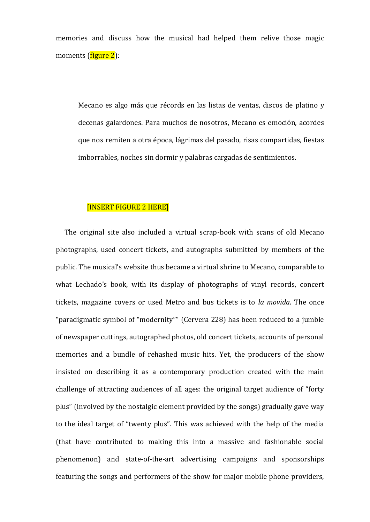memories and discuss how the musical had helped them relive those magic moments (figure 2):

Mecano es algo más que récords en las listas de ventas, discos de platino y decenas galardones. Para muchos de nosotros, Mecano es emoción, acordes que nos remiten a otra época, lágrimas del pasado, risas compartidas, fiestas imborrables, noches sin dormir y palabras cargadas de sentimientos.

#### [INSERT FIGURE 2 HERE]

The original site also included a virtual scrap-book with scans of old Mecano photographs, used concert tickets, and autographs submitted by members of the public. The musical's website thus became a virtual shrine to Mecano, comparable to what Lechado's book, with its display of photographs of vinyl records, concert tickets, magazine covers or used Metro and bus tickets is to *la movida*. The once "paradigmatic symbol of "modernity"" (Cervera 228) has been reduced to a jumble of newspaper cuttings, autographed photos, old concert tickets, accounts of personal memories and a bundle of rehashed music hits. Yet, the producers of the show insisted on describing it as a contemporary production created with the main challenge of attracting audiences of all ages: the original target audience of "forty plus" (involved by the nostalgic element provided by the songs) gradually gave way to the ideal target of "twenty plus". This was achieved with the help of the media (that have contributed to making this into a massive and fashionable social phenomenon) and state-of-the-art advertising campaigns and sponsorships featuring the songs and performers of the show for major mobile phone providers,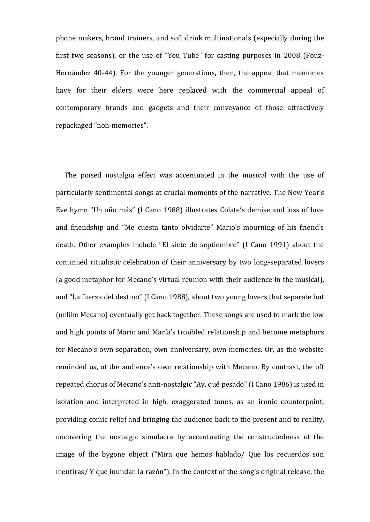phone makers, brand trainers, and soft drink multinationals (especially during the first two seasons), or the use of "You Tube" for casting purposes in 2008 (Fouz-Hernández 40-44). For the younger generations, then, the appeal that memories have for their elders were here replaced with the commercial appeal of contemporary brands and gadgets and their conveyance of those attractively repackaged "non-memories".

The poised nostalgia effect was accentuated in the musical with the use of particularly sentimental songs at crucial moments of the narrative. The New Year's Eve hymn "Un año más" (I Cano 1988) illustrates Colate's demise and loss of love and friendship and "Me cuesta tanto olvidarte" Mario's mourning of his friend's death. Other examples include "El siete de septiembre" (I Cano 1991) about the continued ritualistic celebration of their anniversary by two long-separated lovers (a good metaphor for Mecano's virtual reunion with their audience in the musical), and "La fuerza del destino" (I Cano 1988), about two young lovers that separate but (unlike Mecano) eventually get back together. These songs are used to mark the low and high points of Mario and María's troubled relationship and become metaphors for Mecano's own separation, own anniversary, own memories. Or, as the website reminded us, of the audience's own relationship with Mecano. By contrast, the oft repeated chorus of Mecano's anti-nostalgic "Ay, qué pesado" (I Cano 1986) is used in isolation and interpreted in high, exaggerated tones, as an ironic counterpoint, providing comic relief and bringing the audience back to the present and to reality, uncovering the nostalgic simulacra by accentuating the constructedness of the image of the bygone object ("Mira que hemos hablado/ Que los recuerdos son mentiras/ Y que inundan la razón"). In the context of the song's original release, the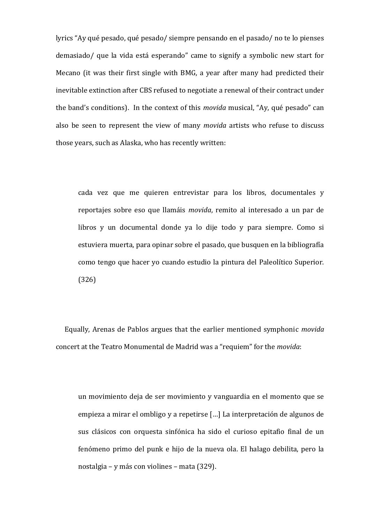lyrics "Ay qué pesado, qué pesado/ siempre pensando en el pasado/ no te lo pienses demasiado/ que la vida está esperando" came to signify a symbolic new start for Mecano (it was their first single with BMG, a year after many had predicted their inevitable extinction after CBS refused to negotiate a renewal of their contract under the band's conditions). In the context of this *movida* musical, "Ay, qué pesado" can also be seen to represent the view of many *movida* artists who refuse to discuss those years, such as Alaska, who has recently written:

cada vez que me quieren entrevistar para los libros, documentales y reportajes sobre eso que llamáis *movida*, remito al interesado a un par de libros y un documental donde ya lo dije todo y para siempre. Como si estuviera muerta, para opinar sobre el pasado, que busquen en la bibliografía como tengo que hacer yo cuando estudio la pintura del Paleolítico Superior. (326)

Equally, Arenas de Pablos argues that the earlier mentioned symphonic *movida*  concert at the Teatro Monumental de Madrid was a "requiem" for the *movida*:

un movimiento deja de ser movimiento y vanguardia en el momento que se empieza a mirar el ombligo y a repetirse […] La interpretación de algunos de sus clásicos con orquesta sinfónica ha sido el curioso epitafio final de un fenómeno primo del punk e hijo de la nueva ola. El halago debilita, pero la nostalgia – y más con violines – mata (329).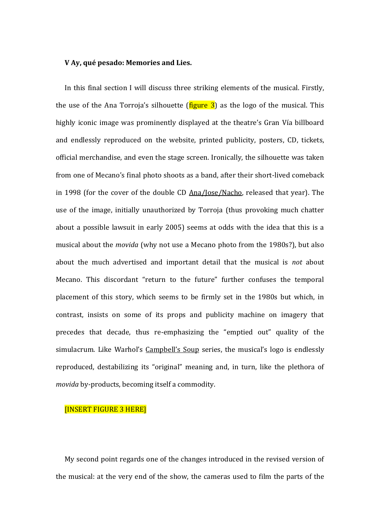#### **V Ay, qué pesado: Memories and Lies.**

In this final section I will discuss three striking elements of the musical. Firstly, the use of the Ana Torroja's silhouette ( $figure 3$ ) as the logo of the musical. This highly iconic image was prominently displayed at the theatre's Gran Vía billboard and endlessly reproduced on the website, printed publicity, posters, CD, tickets, official merchandise, and even the stage screen. Ironically, the silhouette was taken from one of Mecano's final photo shoots as a band, after their short-lived comeback in 1998 (for the cover of the double CD Ana/Jose/Nacho, released that year). The use of the image, initially unauthorized by Torroja (thus provoking much chatter about a possible lawsuit in early 2005) seems at odds with the idea that this is a musical about the *movida* (why not use a Mecano photo from the 1980s?), but also about the much advertised and important detail that the musical is *not* about Mecano. This discordant "return to the future" further confuses the temporal placement of this story, which seems to be firmly set in the 1980s but which, in contrast, insists on some of its props and publicity machine on imagery that precedes that decade, thus re-emphasizing the "emptied out" quality of the simulacrum. Like Warhol's Campbell's Soup series, the musical's logo is endlessly reproduced, destabilizing its "original" meaning and, in turn, like the plethora of *movida* by-products, becoming itself a commodity.

#### [INSERT FIGURE 3 HERE]

My second point regards one of the changes introduced in the revised version of the musical: at the very end of the show, the cameras used to film the parts of the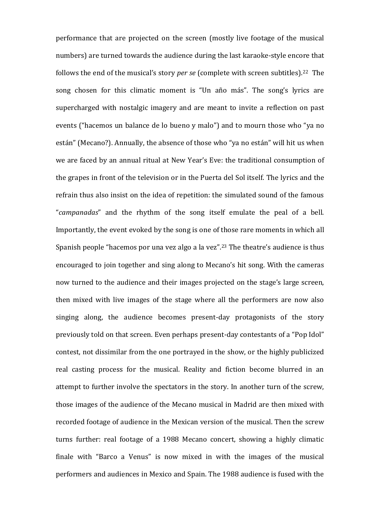performance that are projected on the screen (mostly live footage of the musical numbers) are turned towards the audience during the last karaoke-style encore that follows the end of the musical's story *per se* (complete with screen subtitles).22 The song chosen for this climatic moment is "Un año más". The song's lyrics are supercharged with nostalgic imagery and are meant to invite a reflection on past events ("hacemos un balance de lo bueno y malo") and to mourn those who "ya no están" (Mecano?). Annually, the absence of those who "ya no están" will hit us when we are faced by an annual ritual at New Year's Eve: the traditional consumption of the grapes in front of the television or in the Puerta del Sol itself. The lyrics and the refrain thus also insist on the idea of repetition: the simulated sound of the famous "*campanadas*" and the rhythm of the song itself emulate the peal of a bell. Importantly, the event evoked by the song is one of those rare moments in which all Spanish people "hacemos por una vez algo a la vez".<sup>23</sup> The theatre's audience is thus encouraged to join together and sing along to Mecano's hit song. With the cameras now turned to the audience and their images projected on the stage's large screen, then mixed with live images of the stage where all the performers are now also singing along, the audience becomes present-day protagonists of the story previously told on that screen. Even perhaps present-day contestants of a "Pop Idol" contest, not dissimilar from the one portrayed in the show, or the highly publicized real casting process for the musical. Reality and fiction become blurred in an attempt to further involve the spectators in the story. In another turn of the screw, those images of the audience of the Mecano musical in Madrid are then mixed with recorded footage of audience in the Mexican version of the musical. Then the screw turns further: real footage of a 1988 Mecano concert, showing a highly climatic finale with "Barco a Venus" is now mixed in with the images of the musical performers and audiences in Mexico and Spain. The 1988 audience is fused with the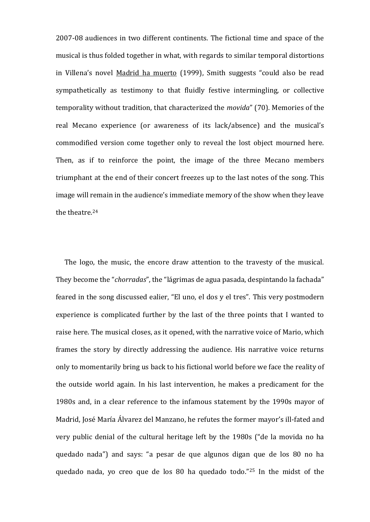2007-08 audiences in two different continents. The fictional time and space of the musical is thus folded together in what, with regards to similar temporal distortions in Villena's novel Madrid ha muerto (1999), Smith suggests "could also be read sympathetically as testimony to that fluidly festive intermingling, or collective temporality without tradition, that characterized the *movida*" (70). Memories of the real Mecano experience (or awareness of its lack/absence) and the musical's commodified version come together only to reveal the lost object mourned here. Then, as if to reinforce the point, the image of the three Mecano members triumphant at the end of their concert freezes up to the last notes of the song. This image will remain in the audience's immediate memory of the show when they leave the theatre.<sup>24</sup>

The logo, the music, the encore draw attention to the travesty of the musical. They become the "*chorradas*", the "lágrimas de agua pasada, despintando la fachada" feared in the song discussed ealier, "El uno, el dos y el tres". This very postmodern experience is complicated further by the last of the three points that I wanted to raise here. The musical closes, as it opened, with the narrative voice of Mario, which frames the story by directly addressing the audience. His narrative voice returns only to momentarily bring us back to his fictional world before we face the reality of the outside world again. In his last intervention, he makes a predicament for the 1980s and, in a clear reference to the infamous statement by the 1990s mayor of Madrid, José María Álvarez del Manzano, he refutes the former mayor's ill-fated and very public denial of the cultural heritage left by the 1980s ("de la movida no ha quedado nada") and says: "a pesar de que algunos digan que de los 80 no ha quedado nada, yo creo que de los 80 ha quedado todo."<sup>25</sup> In the midst of the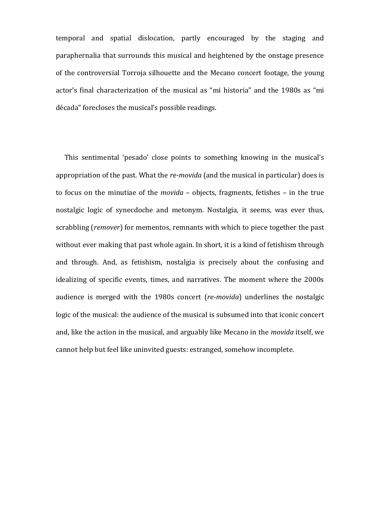temporal and spatial dislocation, partly encouraged by the staging and paraphernalia that surrounds this musical and heightened by the onstage presence of the controversial Torroja silhouette and the Mecano concert footage, the young actor's final characterization of the musical as "mi historia" and the 1980s as "mi década" forecloses the musical's possible readings.

This sentimental 'pesado' close points to something knowing in the musical's appropriation of the past. What the *re-movida* (and the musical in particular) does is to focus on the minutiae of the *movida* – objects, fragments, fetishes – in the true nostalgic logic of synecdoche and metonym. Nostalgia, it seems, was ever thus, scrabbling (*remover*) for mementos, remnants with which to piece together the past without ever making that past whole again. In short, it is a kind of fetishism through and through. And, as fetishism, nostalgia is precisely about the confusing and idealizing of specific events, times, and narratives. The moment where the 2000s audience is merged with the 1980s concert (*re-movida*) underlines the nostalgic logic of the musical: the audience of the musical is subsumed into that iconic concert and, like the action in the musical, and arguably like Mecano in the *movida* itself, we cannot help but feel like uninvited guests: estranged, somehow incomplete.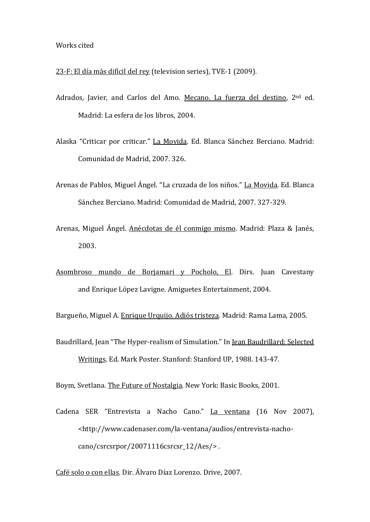# Works cited

- 23-F: El día más difícil del rey (television series), TVE-1 (2009).
- Adrados, Javier, and Carlos del Amo. Mecano. La fuerza del destino, 2<sup>nd</sup> ed. Madrid: La esfera de los libros, 2004.
- Alaska "Criticar por criticar." La Movida. Ed. Blanca Sánchez Berciano. Madrid: Comunidad de Madrid, 2007. 326.
- Arenas de Pablos, Miguel Ángel. "La cruzada de los niños." La Movida. Ed. Blanca Sánchez Berciano. Madrid: Comunidad de Madrid, 2007. 327-329.
- Arenas, Miguel Ángel. Anécdotas de él conmigo mismo. Madrid: Plaza & Janés, 2003.
- Asombroso mundo de Borjamari y Pocholo, El. Dirs. Juan Cavestany and Enrique López Lavigne. Amiguetes Entertainment, 2004.

Bargueño, Miguel A. Enrique Urquijo. Adiós tristeza*.* Madrid: Rama Lama, 2005.

Baudrillard, Jean "The Hyper-realism of Simulation." In Jean Baudrillard: Selected Writings. Ed. Mark Poster. Stanford: Stanford UP, 1988. 143-47.

Boym, Svetlana. The Future of Nostalgia. New York: Basic Books, 2001.

Cadena SER "Entrevista a Nacho Cano." La ventana (16 Nov 2007), <http://www.cadenaser.com/la-ventana/audios/entrevista-nachocano/csrcsrpor/20071116csrcsr\_12/Aes/> .

Café solo o con ellas. Dir. Álvaro Díaz Lorenzo. Drive, 2007.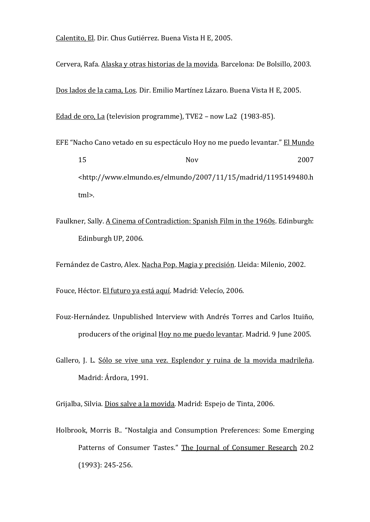Calentito, El. Dir. Chus Gutiérrez. Buena Vista H E, 2005.

Cervera, Rafa. Alaska y otras historias de la movida. Barcelona: De Bolsillo, 2003.

Dos lados de la cama, Los. Dir. Emilio Martínez Lázaro. Buena Vista H E, 2005.

Edad de oro, La (television programme), TVE2 – now La2 (1983-85).

- EFE "Nacho Cano vetado en su espectáculo Hoy no me puedo levantar." El Mundo 15 Nov 2007 <http://www.elmundo.es/elmundo/2007/11/15/madrid/1195149480.h tml>.
- Faulkner, Sally. A Cinema of Contradiction: Spanish Film in the 1960s. Edinburgh: Edinburgh UP, 2006.

Fernández de Castro, Alex. Nacha Pop. Magia y precisión. Lleida: Milenio, 2002.

Fouce, Héctor. El futuro ya está aquí. Madrid: Velecío, 2006.

- Fouz-Hernández. Unpublished Interview with Andrés Torres and Carlos Ituiño, producers of the original Hoy no me puedo levantar. Madrid. 9 June 2005.
- Gallero, J. L. Sólo se vive una vez. Esplendor y ruina de la movida madrileña. Madrid: Árdora, 1991.

Grijalba, Silvia. Dios salve a la movida. Madrid: Espejo de Tinta, 2006.

Holbrook, Morris B.. "Nostalgia and Consumption Preferences: Some Emerging Patterns of Consumer Tastes." The Journal of Consumer Research 20.2 (1993): 245-256.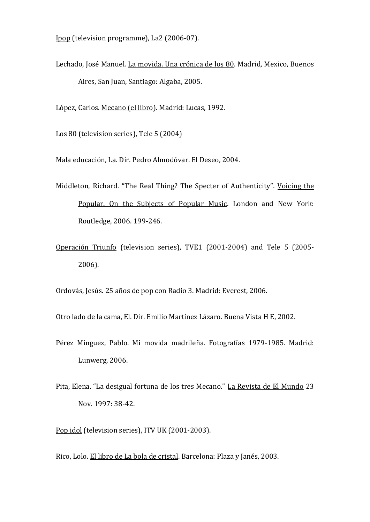Ipop (television programme), La2 (2006-07).

Lechado, José Manuel. La movida. Una crónica de los 80. Madrid, Mexico, Buenos Aires, San Juan, Santiago: Algaba, 2005.

López, Carlos. Mecano (el libro). Madrid: Lucas, 1992.

Los 80 (television series), Tele 5 (2004)

Mala educación, La. Dir. Pedro Almodóvar. El Deseo, 2004.

- Middleton, Richard. "The Real Thing? The Specter of Authenticity". Voicing the Popular. On the Subjects of Popular Music. London and New York: Routledge, 2006. 199-246.
- Operación Triunfo (television series), TVE1 (2001-2004) and Tele 5 (2005- 2006).

Ordovás, Jesús. 25 años de pop con Radio 3. Madrid: Everest, 2006.

Otro lado de la cama, El. Dir. Emilio Martínez Lázaro. Buena Vista H E, 2002.

- Pérez Mínguez, Pablo. Mi movida madrileña. Fotografías 1979-1985. Madrid: Lunwerg, 2006.
- Pita, Elena. "La desigual fortuna de los tres Mecano." La Revista de El Mundo 23 Nov. 1997: 38-42.
- Pop idol (television series), ITV UK (2001-2003).

Rico, Lolo. El libro de La bola de cristal. Barcelona: Plaza y Janés, 2003.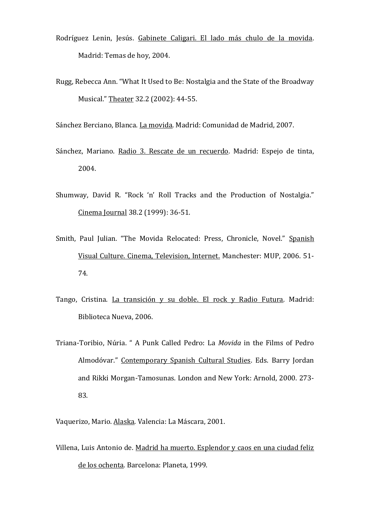- Rodríguez Lenin, Jesús. Gabinete Caligari. El lado más chulo de la movida. Madrid: Temas de hoy, 2004.
- Rugg, Rebecca Ann. "What It Used to Be: Nostalgia and the State of the Broadway Musical." Theater 32.2 (2002): 44-55.

Sánchez Berciano, Blanca. La movida. Madrid: Comunidad de Madrid, 2007.

- Sánchez, Mariano. Radio 3. Rescate de un recuerdo. Madrid: Espejo de tinta, 2004.
- Shumway, David R. "Rock 'n' Roll Tracks and the Production of Nostalgia." Cinema Journal 38.2 (1999): 36-51.
- Smith, Paul Julian. "The Movida Relocated: Press, Chronicle, Novel." Spanish Visual Culture. Cinema, Television, Internet. Manchester: MUP, 2006. 51- 74.
- Tango, Cristina. La transición y su doble. El rock y Radio Futura. Madrid: Biblioteca Nueva, 2006.
- Triana-Toribio, Núria. " A Punk Called Pedro: La *Movida* in the Films of Pedro Almodóvar." Contemporary Spanish Cultural Studies. Eds. Barry Jordan and Rikki Morgan-Tamosunas. London and New York: Arnold, 2000. 273- 83.

Vaquerizo, Mario. Alaska. Valencia: La Máscara, 2001.

Villena, Luis Antonio de. Madrid ha muerto. Esplendor y caos en una ciudad feliz de los ochenta. Barcelona: Planeta, 1999.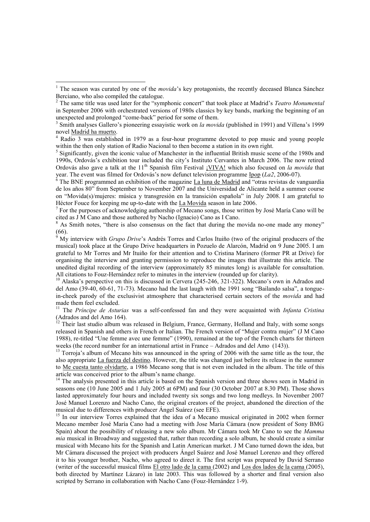$\overline{a}$ 

<sup>5</sup> Significantly, given the iconic value of Manchester in the influential British music scene of the 1980s and 1990s, Ordovás"s exhibition tour included the city"s Instituto Cervantes in March 2006. The now retired Ordovás also gave a talk at the 11<sup>th</sup> Spanish film Festival *<u>VIVA!</u>* which also focused on *la movida* that year. The event was filmed for Ordovás's now defunct television programme Ipop (*La2*, 2006-07).

The BNE programmed an exhibition of the magazine La luna de Madrid and "otras revistas de vanguardia de los años 80" from September to November 2007 and the Universidad de Alicante held a summer course on "Movida(s)/mujeres: música y transgresión en la transición española" in July 2008. I am grateful to Héctor Fouce for keeping me up-to-date with the La Movida season in late 2006.

 $<sup>7</sup>$  For the purposes of acknowledging authorship of Mecano songs, those written by José María Cano will be</sup> cited as J M Cano and those authored by Nacho (Ignacio) Cano as I Cano.

As Smith notes, "there is also consensus on the fact that during the movida no-one made any money"  $(66)$ .

<sup>9</sup> My interview with *Grupo Drive*"s Andrés Torres and Carlos Ituiño (two of the original producers of the musical) took place at the Grupo Drive headquarters in Pozuelo de Alarcón, Madrid on 9 June 2005. I am grateful to Mr Torres and Mr Ituiño for their attention and to Cristina Marinero (former PR at Drive) for organising the interview and granting permission to reproduce the images that illustrate this article. The unedited digital recording of the interview (approximately 85 minutes long) is available for consultation. All citations to Fouz-Hernández refer to minutes in the interview (rounded up for clarity).

<sup>10</sup> Alaska's perspective on this is discussed in Cervera (245-246, 321-322). Mecano's own in Adrados and del Amo (39-40, 60-61, 71-73). Mecano had the last laugh with the 1991 song "Bailando salsa", a tonguein-cheek parody of the exclusivist atmosphere that characterised certain sectors of the *movida* and had made them feel excluded.

<sup>11</sup> The *Príncipe de Asturias* was a self-confessed fan and they were acquainted with *Infanta Cristina*  (Adrados and del Amo 164).

 $12$  Their last studio album was released in Belgium, France, Germany, Holland and Italy, with some songs released in Spanish and others in French or Italian. The French version of "Mujer contra mujer" (J M Cano 1988), re-titled "Une femme avec une femme" (1990), remained at the top of the French charts for thirteen weeks (the record number for an international artist in France – Adrados and del Amo (143)).

<sup>13</sup> Torroja's album of Mecano hits was announced in the spring of 2006 with the same title as the tour, the also appropriate La fuerza del destino. However, the title was changed just before its release in the summer to Me cuesta tanto olvidarte, a 1986 Mecano song that is not even included in the album. The title of this article was conceived prior to the album"s name change.

<sup>14</sup> The analysis presented in this article is based on the Spanish version and three shows seen in Madrid in seasons one (10 June 2005 and 1 July 2005 at 6PM) and four (30 October 2007 at 8.30 PM). Those shows lasted approximately four hours and included twenty six songs and two long medleys. In November 2007 José Manuel Lorenzo and Nacho Cano, the original creators of the project, abandoned the direction of the musical due to differences with producer Ángel Suárez (see EFE).

<sup>15</sup> In our interview Torres explained that the idea of a Mecano musical originated in 2002 when former Mecano member José María Cano had a meeting with Jose María Cámara (now president of Sony BMG Spain) about the possibility of releasing a new solo album. Mr Cámara took Mr Cano to see the *Mamma mia* musical in Broadway and suggested that, rather than recording a solo album, he should create a similar musical with Mecano hits for the Spanish and Latin American market. J M Cano turned down the idea, but Mr Cámara discussed the project with producers Ángel Suárez and José Manuel Lorenzo and they offered it to his younger brother, Nacho, who agreed to direct it. The first script was prepared by David Serrano (writer of the successful musical films El otro lado de la cama (2002) and Los dos lados de la cama (2005), both directed by Martínez Lázaro) in late 2003. This was followed by a shorter and final version also scripted by Serrano in collaboration with Nacho Cano (Fouz-Hernández 1-9).

<sup>&</sup>lt;sup>1</sup> The season was curated by one of the *movida*'s key protagonists, the recently deceased Blanca Sánchez Berciano, who also compiled the catalogue.

<sup>2</sup> The same title was used later for the "symphonic concert" that took place at Madrid"s *Teatro Monumental* in September 2006 with orchestrated versions of 1980s classics by key bands, marking the beginning of an unexpected and prolonged "come-back" period for some of them.

<sup>3</sup> Smith analyses Gallero"s pioneering essayistic work on *la movida* (published in 1991) and Villena"s 1999 novel Madrid ha muerto.

<sup>&</sup>lt;sup>4</sup> Radio 3 was established in 1979 as a four-hour programme devoted to pop music and young people within the then only station of Radio Nacional to then become a station in its own right.